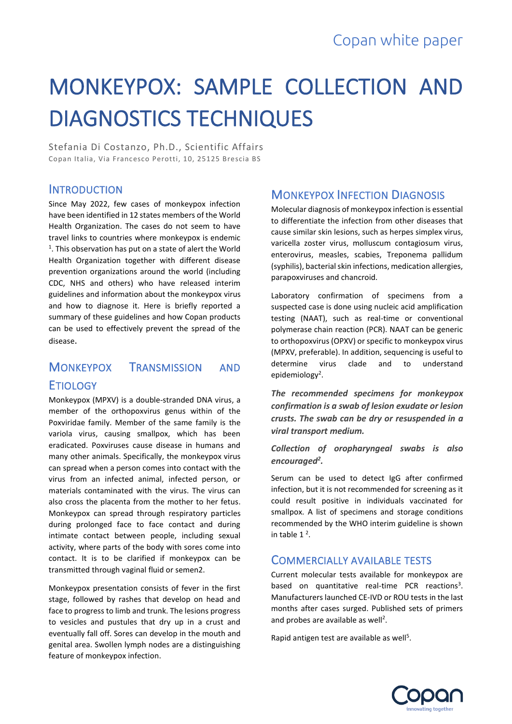# MONKEYPOX: SAMPLE COLLECTION AND DIAGNOSTICS TECHNIQUES

Stefania Di Costanzo, Ph.D., Scientific Affairs Copan Italia, Via Francesco Perotti, 10, 25125 Brescia BS

#### **INTRODUCTION**

Since May 2022, few cases of monkeypox infection have been identified in 12 states members of the World Health Organization. The cases do not seem to have travel links to countries where monkeypox is endemic  $<sup>1</sup>$ . This observation has put on a state of alert the World</sup> Health Organization together with different disease prevention organizations around the world (including CDC, NHS and others) who have released interim guidelines and information about the monkeypox virus and how to diagnose it. Here is briefly reported a summary of these guidelines and how Copan products can be used to effectively prevent the spread of the disease.

### MONKEYPOX TRANSMISSION AND **ETIOLOGY**

Monkeypox (MPXV) is a double-stranded DNA virus, a member of the orthopoxvirus genus within of the Poxviridae family. Member of the same family is the variola virus, causing smallpox, which has been eradicated. Poxviruses cause disease in humans and many other animals. Specifically, the monkeypox virus can spread when a person comes into contact with the virus from an infected animal, infected person, or materials contaminated with the virus. The virus can also cross the placenta from the mother to her fetus. Monkeypox can spread through respiratory particles during prolonged face to face contact and during intimate contact between people, including sexual activity, where parts of the body with sores come into contact. It is to be clarified if monkeypox can be transmitted through vaginal fluid or semen2.

Monkeypox presentation consists of fever in the first stage, followed by rashes that develop on head and face to progress to limb and trunk. The lesions progress to vesicles and pustules that dry up in a crust and eventually fall off. Sores can develop in the mouth and genital area. Swollen lymph nodes are a distinguishing feature of monkeypox infection.

#### MONKEYPOX INFECTION DIAGNOSIS

Molecular diagnosis of monkeypox infection is essential to differentiate the infection from other diseases that cause similar skin lesions, such as herpes simplex virus, varicella zoster virus, molluscum contagiosum virus, enterovirus, measles, scabies, Treponema pallidum (syphilis), bacterial skin infections, medication allergies, parapoxviruses and chancroid.

Laboratory confirmation of specimens from a suspected case is done using nucleic acid amplification testing (NAAT), such as real-time or conventional polymerase chain reaction (PCR). NAAT can be generic to orthopoxvirus (OPXV) or specific to monkeypox virus (MPXV, preferable). In addition, sequencing is useful to determine virus clade and to understand epidemiology<sup>2</sup>.

*The recommended specimens for monkeypox confirmation is a swab of lesion exudate or lesion crusts. The swab can be dry or resuspended in a viral transport medium.*

*Collection of oropharyngeal swabs is also encouraged<sup>2</sup> .* 

Serum can be used to detect IgG after confirmed infection, but it is not recommended for screening as it could result positive in individuals vaccinated for smallpox. A list of specimens and storage conditions recommended by the WHO interim guideline is shown in table  $1^2$ .

#### COMMERCIALLY AVAILABLE TESTS

Current molecular tests available for monkeypox are based on quantitative real-time PCR reactions<sup>3</sup>. Manufacturers launched CE-IVD or ROU tests in the last months after cases surged. Published sets of primers and probes are available as well<sup>2</sup>.

Rapid antigen test are available as well<sup>5</sup>.

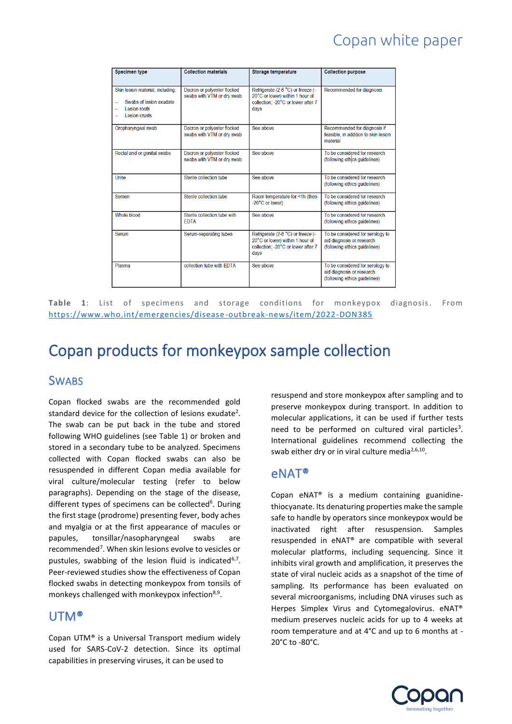## Copan white paper

| <b>Specimen type</b>                                                                          | <b>Collection materials</b>                               | Storage temperature                                                                                                | <b>Collection purpose</b>                                                                      |
|-----------------------------------------------------------------------------------------------|-----------------------------------------------------------|--------------------------------------------------------------------------------------------------------------------|------------------------------------------------------------------------------------------------|
| Skin lesion material, including:<br>Swabs of lesion exudate<br>Lesion roofs<br>I esion crusts | Dacron or polyester flocked<br>swabs with VTM or dry swab | Refrigerate (2-8 °C) or freeze (-<br>20°C or lower) within 1 hour of<br>collection: -20°C or lower after 7<br>davs | Recommended for diagnosis                                                                      |
| Oropharyngeal swab                                                                            | Dacron or polyester flocked<br>swabs with VTM or dry swab | See above                                                                                                          | Recommended for diagnosis if<br>feasible, in addition to skin lesion<br>material               |
| Rectal and or genital swabs                                                                   | Dacron or polyester flocked<br>swabs with VTM or dry swab | See above                                                                                                          | To be considered for research<br>(following ethics guidelines)                                 |
| Urine                                                                                         | Sterile collection tube                                   | See above                                                                                                          | To be considered for research<br>(following ethics guidelines)                                 |
| Semen                                                                                         | Sterile collection tube                                   | Room temperature for <1h (then<br>-20°C or lower)                                                                  | To be considered for research<br>(following ethics guidelines)                                 |
| Whole blood                                                                                   | Sterile collection tube with<br><b>FDTA</b>               | See above                                                                                                          | To be considered for research<br>(following ethics guidelines)                                 |
| Serum                                                                                         | Serum-separating tubes                                    | Refrigerate (2-8 °C) or freeze (-<br>20°C or lower) within 1 hour of<br>collection: -20°C or lower after 7<br>davs | To be considered for serology to<br>aid diagnosis or research<br>(following ethics guidelines) |
| Plasma                                                                                        | collection tube with EDTA                                 | See above                                                                                                          | To be considered for serology to<br>aid diagnosis or research<br>(following ethics guidelines) |

**Table 1**: List of specimens and storage conditions for monkeypox diagnosis. From [https://www.who.int/emergencies/disease](https://www.who.int/emergencies/disease-outbreak-news/item/2022-DON385) -outbreak-news/item/2022-DON385

## Copan products for monkeypox sample collection

#### **SWABS**

Copan flocked swabs are the recommended gold standard device for the collection of lesions exudate<sup>2</sup>. The swab can be put back in the tube and stored following WHO guidelines (see Table 1) or broken and stored in a secondary tube to be analyzed. Specimens collected with Copan flocked swabs can also be resuspended in different Copan media available for viral culture/molecular testing (refer to below paragraphs). Depending on the stage of the disease, different types of specimens can be collected<sup>6</sup>. During the first stage (prodrome) presenting fever, body aches and myalgia or at the first appearance of macules or papules, tonsillar/nasopharyngeal swabs are recommended<sup>7</sup>. When skin lesions evolve to vesicles or pustules, swabbing of the lesion fluid is indicated<sup>6,7</sup>. Peer-reviewed studies show the effectiveness of Copan flocked swabs in detecting monkeypox from tonsils of monkeys challenged with monkeypox infection<sup>8,9</sup>.

#### UTM®

Copan UTM® is a Universal Transport medium widely used for SARS-CoV-2 detection. Since its optimal capabilities in preserving viruses, it can be used to

resuspend and store monkeypox after sampling and to preserve monkeypox during transport. In addition to molecular applications, it can be used if further tests need to be performed on cultured viral particles<sup>3</sup>. International guidelines recommend collecting the swab either dry or in viral culture media<sup>2,6,10</sup>.

#### eNAT®

Copan eNAT® is a medium containing guanidinethiocyanate. Its denaturing properties make the sample safe to handle by operators since monkeypox would be inactivated right after resuspension. Samples resuspended in eNAT® are compatible with several molecular platforms, including sequencing. Since it inhibits viral growth and amplification, it preserves the state of viral nucleic acids as a snapshot of the time of sampling. Its performance has been evaluated on several microorganisms, including DNA viruses such as Herpes Simplex Virus and Cytomegalovirus. eNAT® medium preserves nucleic acids for up to 4 weeks at room temperature and at 4°C and up to 6 months at - 20°C to -80°C.